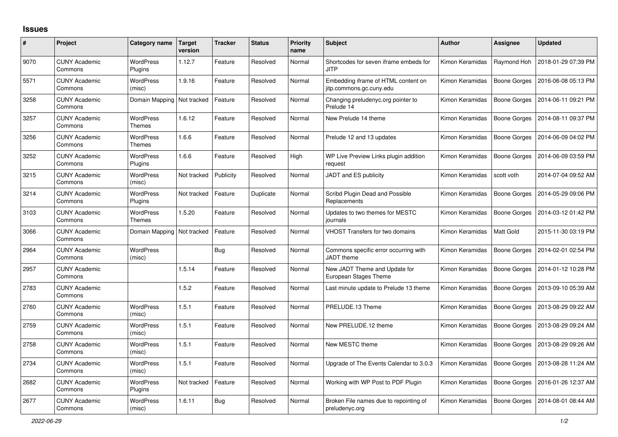## **Issues**

| $\#$ | Project                         | Category name                     | <b>Target</b><br>version | <b>Tracker</b> | <b>Status</b> | <b>Priority</b><br>name | <b>Subject</b>                                                  | <b>Author</b>   | <b>Assignee</b>     | <b>Updated</b>      |
|------|---------------------------------|-----------------------------------|--------------------------|----------------|---------------|-------------------------|-----------------------------------------------------------------|-----------------|---------------------|---------------------|
| 9070 | <b>CUNY Academic</b><br>Commons | <b>WordPress</b><br>Plugins       | 1.12.7                   | Feature        | Resolved      | Normal                  | Shortcodes for seven iframe embeds for<br><b>JITP</b>           | Kimon Keramidas | Raymond Hoh         | 2018-01-29 07:39 PM |
| 5571 | <b>CUNY Academic</b><br>Commons | <b>WordPress</b><br>(misc)        | 1.9.16                   | Feature        | Resolved      | Normal                  | Embedding iframe of HTML content on<br>jitp.commons.gc.cuny.edu | Kimon Keramidas | <b>Boone Gorges</b> | 2016-06-08 05:13 PM |
| 3258 | <b>CUNY Academic</b><br>Commons | Domain Mapping                    | Not tracked              | Feature        | Resolved      | Normal                  | Changing preludenyc.org pointer to<br>Prelude 14                | Kimon Keramidas | Boone Gorges        | 2014-06-11 09:21 PM |
| 3257 | <b>CUNY Academic</b><br>Commons | <b>WordPress</b><br><b>Themes</b> | 1.6.12                   | Feature        | Resolved      | Normal                  | New Prelude 14 theme                                            | Kimon Keramidas | Boone Gorges        | 2014-08-11 09:37 PM |
| 3256 | <b>CUNY Academic</b><br>Commons | <b>WordPress</b><br><b>Themes</b> | 1.6.6                    | Feature        | Resolved      | Normal                  | Prelude 12 and 13 updates                                       | Kimon Keramidas | Boone Gorges        | 2014-06-09 04:02 PM |
| 3252 | <b>CUNY Academic</b><br>Commons | <b>WordPress</b><br>Plugins       | 1.6.6                    | Feature        | Resolved      | High                    | WP Live Preview Links plugin addition<br>request                | Kimon Keramidas | <b>Boone Gorges</b> | 2014-06-09 03:59 PM |
| 3215 | <b>CUNY Academic</b><br>Commons | WordPress<br>(misc)               | Not tracked              | Publicity      | Resolved      | Normal                  | JADT and ES publicity                                           | Kimon Keramidas | scott voth          | 2014-07-04 09:52 AM |
| 3214 | <b>CUNY Academic</b><br>Commons | WordPress<br>Plugins              | Not tracked              | Feature        | Duplicate     | Normal                  | Scribd Plugin Dead and Possible<br>Replacements                 | Kimon Keramidas | Boone Gorges        | 2014-05-29 09:06 PM |
| 3103 | <b>CUNY Academic</b><br>Commons | <b>WordPress</b><br><b>Themes</b> | 1.5.20                   | Feature        | Resolved      | Normal                  | Updates to two themes for MESTC<br>journals                     | Kimon Keramidas | <b>Boone Gorges</b> | 2014-03-12 01:42 PM |
| 3066 | <b>CUNY Academic</b><br>Commons | Domain Mapping Not tracked        |                          | Feature        | Resolved      | Normal                  | <b>VHOST Transfers for two domains</b>                          | Kimon Keramidas | Matt Gold           | 2015-11-30 03:19 PM |
| 2964 | <b>CUNY Academic</b><br>Commons | <b>WordPress</b><br>(misc)        |                          | <b>Bug</b>     | Resolved      | Normal                  | Commons specific error occurring with<br><b>JADT</b> theme      | Kimon Keramidas | <b>Boone Gorges</b> | 2014-02-01 02:54 PM |
| 2957 | <b>CUNY Academic</b><br>Commons |                                   | 1.5.14                   | Feature        | Resolved      | Normal                  | New JADT Theme and Update for<br>European Stages Theme          | Kimon Keramidas | Boone Gorges        | 2014-01-12 10:28 PM |
| 2783 | <b>CUNY Academic</b><br>Commons |                                   | 1.5.2                    | Feature        | Resolved      | Normal                  | Last minute update to Prelude 13 theme                          | Kimon Keramidas | <b>Boone Gorges</b> | 2013-09-10 05:39 AM |
| 2760 | <b>CUNY Academic</b><br>Commons | WordPress<br>(misc)               | 1.5.1                    | Feature        | Resolved      | Normal                  | PRELUDE.13 Theme                                                | Kimon Keramidas | Boone Gorges        | 2013-08-29 09:22 AM |
| 2759 | <b>CUNY Academic</b><br>Commons | <b>WordPress</b><br>(misc)        | 1.5.1                    | Feature        | Resolved      | Normal                  | New PRELUDE.12 theme                                            | Kimon Keramidas | <b>Boone Gorges</b> | 2013-08-29 09:24 AM |
| 2758 | <b>CUNY Academic</b><br>Commons | WordPress<br>(misc)               | 1.5.1                    | Feature        | Resolved      | Normal                  | New MESTC theme                                                 | Kimon Keramidas | Boone Gorges        | 2013-08-29 09:26 AM |
| 2734 | <b>CUNY Academic</b><br>Commons | <b>WordPress</b><br>(misc)        | 1.5.1                    | Feature        | Resolved      | Normal                  | Upgrade of The Events Calendar to 3.0.3                         | Kimon Keramidas | Boone Gorges        | 2013-08-28 11:24 AM |
| 2682 | <b>CUNY Academic</b><br>Commons | <b>WordPress</b><br>Plugins       | Not tracked              | Feature        | Resolved      | Normal                  | Working with WP Post to PDF Plugin                              | Kimon Keramidas | Boone Gorges        | 2016-01-26 12:37 AM |
| 2677 | <b>CUNY Academic</b><br>Commons | <b>WordPress</b><br>(misc)        | 1.6.11                   | Bug            | Resolved      | Normal                  | Broken File names due to repointing of<br>preludenyc.org        | Kimon Keramidas | Boone Gorges        | 2014-08-01 08:44 AM |